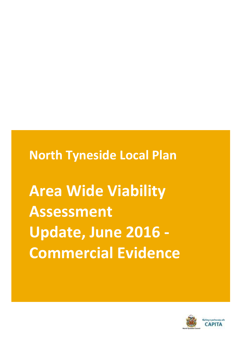**North Tyneside Local Plan**

**Area Wide Viability Assessment Update, June 2016 - Commercial Evidence**

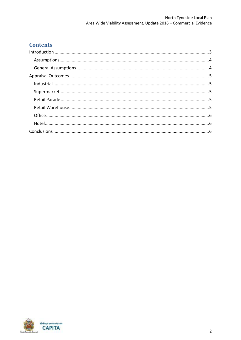# **Contents**

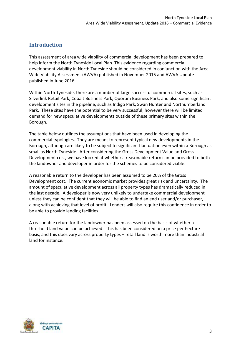## <span id="page-2-0"></span>**Introduction**

This assessment of area wide viability of commercial development has been prepared to help inform the North Tyneside Local Plan. This evidence regarding commercial development viability in North Tyneside should be considered in conjunction with the Area Wide Viability Assessment (AWVA) published in November 2015 and AWVA Update published in June 2016.

Within North Tyneside, there are a number of large successful commercial sites, such as Silverlink Retail Park, Cobalt Business Park, Quorum Business Park, and also some significant development sites in the pipeline, such as Indigo Park, Swan Hunter and Northumberland Park. These sites have the potential to be very successful; however there will be limited demand for new speculative developments outside of these primary sites within the Borough.

The table below outlines the assumptions that have been used in developing the commercial typologies. They are meant to represent typical new developments in the Borough, although are likely to be subject to significant fluctuation even within a Borough as small as North Tyneside. After considering the Gross Development Value and Gross Development cost, we have looked at whether a reasonable return can be provided to both the landowner and developer in order for the schemes to be considered viable.

A reasonable return to the developer has been assumed to be 20% of the Gross Development cost. The current economic market provides great risk and uncertainty. The amount of speculative development across all property types has dramatically reduced in the last decade. A developer is now very unlikely to undertake commercial development unless they can be confident that they will be able to find an end user and/or purchaser, along with achieving that level of profit. Lenders will also require this confidence in order to be able to provide lending facilities.

A reasonable return for the landowner has been assessed on the basis of whether a threshold land value can be achieved. This has been considered on a price per hectare basis, and this does vary across property types – retail land is worth more than industrial land for instance.

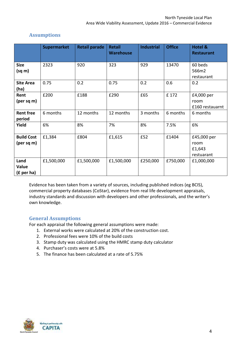|                                          | <b>Supermarket</b> | <b>Retail parade</b> | <b>Retail</b><br><b>Warehouse</b> | <b>Industrial</b> | <b>Office</b> | <b>Hotel &amp;</b><br><b>Restaurant</b>     |
|------------------------------------------|--------------------|----------------------|-----------------------------------|-------------------|---------------|---------------------------------------------|
| <b>Size</b><br>(sq m)                    | 2323               | 920                  | 323                               | 929               | 13470         | 60 beds<br>566m2<br>restaurant              |
| <b>Site Area</b><br>(ha)                 | 0.75               | 0.2                  | 0.75                              | 0.2               | 0.6           | 0.2                                         |
| Rent<br>$(\text{per sq m})$              | £200               | £188                 | £290                              | £65               | £172          | £4,000 per<br>room<br>£160 restauarnt       |
| <b>Rent free</b><br>period               | 6 months           | 12 months            | 12 months                         | 3 months          | 6 months      | 6 months                                    |
| Yield                                    | 6%                 | 8%                   | 7%                                | 8%                | 7.5%          | 6%                                          |
| <b>Build Cost</b><br>$(\text{per sq m})$ | £1,384             | £804                 | £1,615                            | £52               | £1404         | £45,000 per<br>room<br>£1,643<br>restuarant |
| Land<br>Value<br>$(f$ per ha)            | £1,500,000         | £1,500,000           | £1,500,000                        | £250,000          | £750,000      | £1,000,000                                  |

## <span id="page-3-0"></span>**Assumptions**

Evidence has been taken from a variety of sources, including published indices (eg BCIS), commercial property databases (CoStar), evidence from real life development appraisals, industry standards and discussion with developers and other professionals, and the writer's own knowledge.

### <span id="page-3-1"></span>**General Assumptions**

For each appraisal the following general assumptions were made:

- 1. External works were calculated at 20% of the construction cost.
- 2. Professional fees were 10% of the build costs
- 3. Stamp duty was calculated using the HMRC stamp duty calculator
- 4. Purchaser's costs were at 5.8%
- 5. The finance has been calculated at a rate of 5.75%

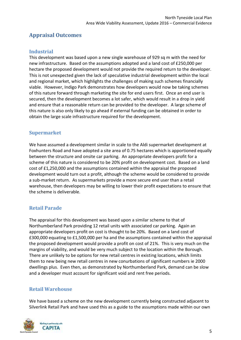## <span id="page-4-0"></span>**Appraisal Outcomes**

#### <span id="page-4-1"></span>**Industrial**

This development was based upon a new single warehouse of 929 sq m with the need for new infrastructure. Based on the assumptions adopted and a land cost of £250,000 per hectare the proposed development would not provide the required return to the developer. This is not unexpected given the lack of speculative industrial development within the local and regional market, which highlights the challenges of making such schemes financially viable. However, Indigo Park demonstrates how developers would now be taking schemes of this nature forward through marketing the site for end users first. Once an end user is secured, then the development becomes a lot safer, which would result in a drop in yield and ensure that a reasonable return can be provided to the developer. A large scheme of this nature is also only likely to go ahead if external funding can be obtained in order to obtain the large scale infrastructure required for the development.

### <span id="page-4-2"></span>**Supermarket**

We have assumed a development similar in scale to the Aldi supermarket development at Foxhunters Road and have adopted a site area of 0.75 hectares which is apportioned equally between the structure and onsite car parking. An appropriate developers profit for a scheme of this nature is considered to be 20% profit on development cost. Based on a land cost of £1,250,000 and the assumptions contained within the appraisal the proposed development would turn out a profit, although the scheme would be considered to provide a sub-market return. As supermarkets provide a more secure end user than a retail warehouse, then developers may be willing to lower their profit expectations to ensure that the scheme is deliverable.

### <span id="page-4-3"></span>**Retail Parade**

The appraisal for this development was based upon a similar scheme to that of Northumberland Park providing 12 retail units with associated car parking. Again an appropriate developers profit on cost is thought to be 20%. Based on a land cost of £300,000 equating to £1,500,000 per ha and the assumptions contained within the appraisal the proposed development would provide a profit on cost of 21%. This is very much on the margins of viability, and would be very much subject to the location within the Borough. There are unlikely to be options for new retail centres in existing locations, which limits them to new being new retail centres in new conurbations of significant numbers ie 2000 dwellings plus. Even then, as demonstrated by Northumberland Park, demand can be slow and a developer must account for significant void and rent free periods.

#### <span id="page-4-4"></span>**Retail Warehouse**

We have based a scheme on the new development currently being constructed adjacent to Silverlink Retail Park and have used this as a guide to the assumptions made within our own